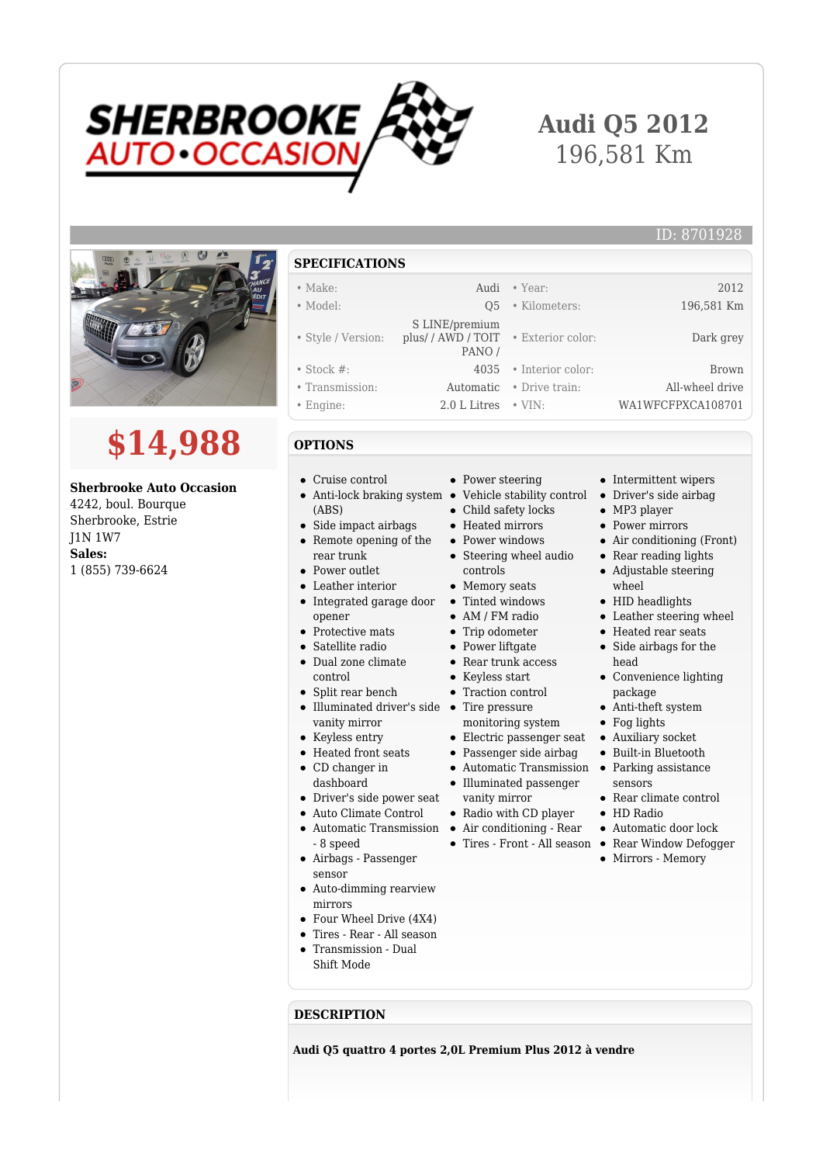

# **Audi Q5 2012** 196,581 Km

• Exterior color: Dark grey



# **\$14,988**

#### **Sherbrooke Auto Occasion**

4242, boul. Bourque Sherbrooke, Estrie J1N 1W7 **Sales:** 1 (855) 739-6624

#### **SPECIFICATIONS**

## • Make: 2012

- Model: Q5 Kilometers: 196,581 Km
- Style / Version: S LINE/premium plus/ / AWD / TOIT PANO /
- Stock #: 4035 Interior color: Brown
- Transmission: Automatic Drive train: All-wheel drive
- Engine: 2.0 L Litres VIN: WA1WFCFPXCA108701
- **OPTIONS**
- Cruise control
- Anti-lock braking system Vehicle stability control Driver's side airbag (ABS)
- Side impact airbags Remote opening of the
- rear trunk • Power outlet
- Leather interior
- Integrated garage door Tinted windows
- 
- Satellite radio
- Dual zone climate control
- Illuminated driver's side Tire pressure
- 
- Heated front seats
- 
- Driver's side power seat
- Auto Climate Control
- Automatic Transmission Air conditioning Rear - 8 speed
- Airbags Passenger sensor
- Auto-dimming rearview mirrors
- Four Wheel Drive (4X4)
- Tires Rear All season
- Transmission Dual Shift Mode
- 
- **DESCRIPTION**

**Audi Q5 quattro 4 portes 2,0L Premium Plus 2012 à vendre**

- Power steering
- 
- Child safety locks
- Heated mirrors
- Power windows
- Steering wheel audio controls
- Memory seats
- 
- AM / FM radio
- Trip odometer
- Power liftgate
- Rear trunk access
- Keyless start
- Traction control
- 
- monitoring system
- 
- Passenger side airbag
	-
- Illuminated passenger vanity mirror
- Radio with CD player
- 
- Tires Front All season Rear Window Defogger
- 

• Intermittent wipers

ID: 8701928

- 
- MP3 player
- Power mirrors
- Air conditioning (Front)
- Rear reading lights Adjustable steering wheel
- HID headlights
- Leather steering wheel
- Heated rear seats
- Side airbags for the head
- Convenience lighting package
- Anti-theft system
- Fog lights
- Electric passenger seat Auxiliary socket
- Automatic Transmission Parking assistance Built-in Bluetooth
	- sensors Rear climate control
	- HD Radio
	-
	- Automatic door lock
	- Mirrors Memory

- opener • Protective mats
- 
- Split rear bench
- 
- vanity mirror
- Keyless entry
- CD changer in
	- dashboard